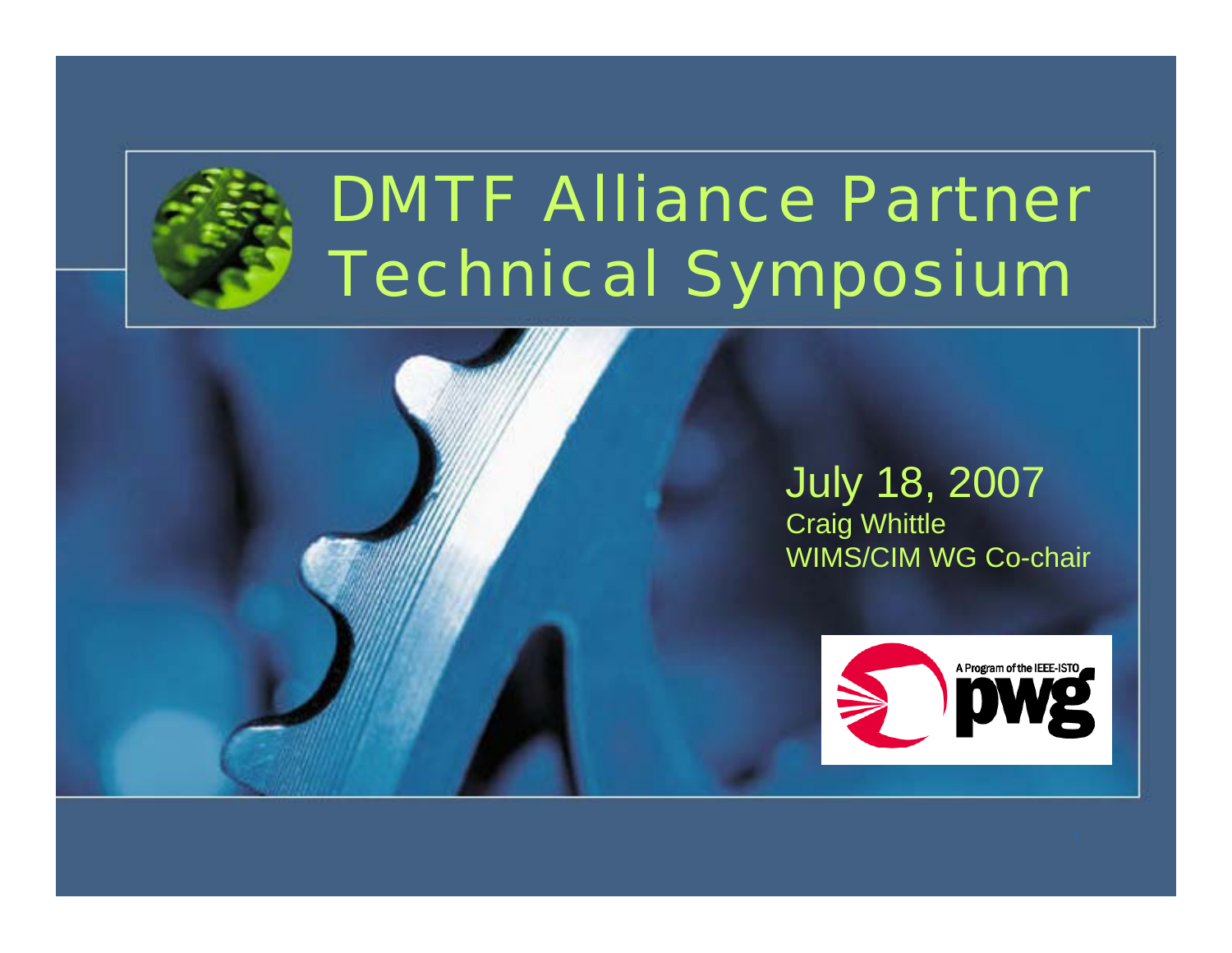

## DMTF Alliance Partner Technical Symposium

#### July 18, 2007 Craig Whittle WIMS/CIM WG Co-chair

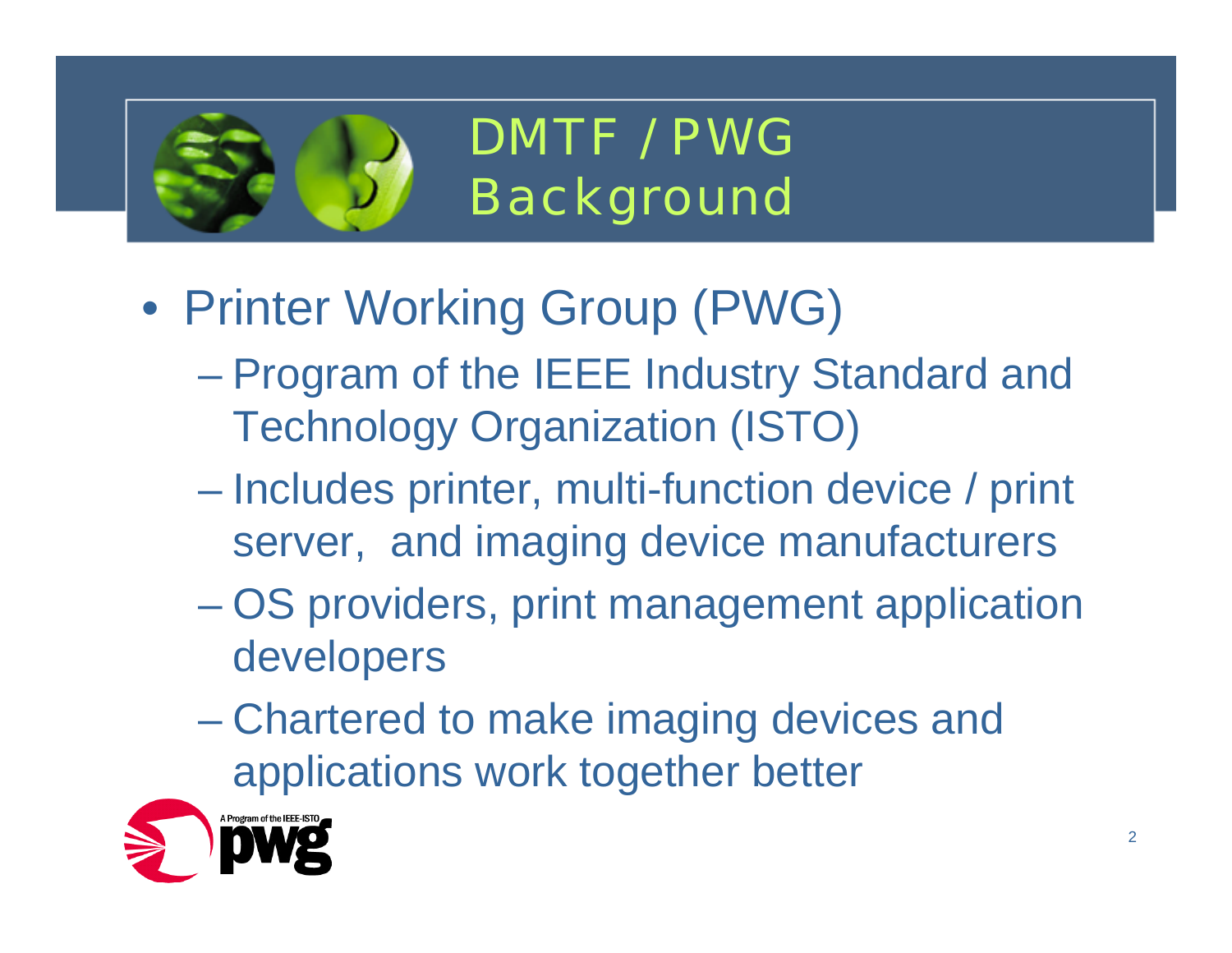

DMTF / PWGBackground

- Printer Working Group (PWG)
	- Program of the IEEE Industry Standard and Technology Organization (ISTO)
	- Includes printer, multi-function device / print server, and imaging device manufacturers
	- OS providers, print management application developers
	- Chartered to make imaging devices and applications work together better

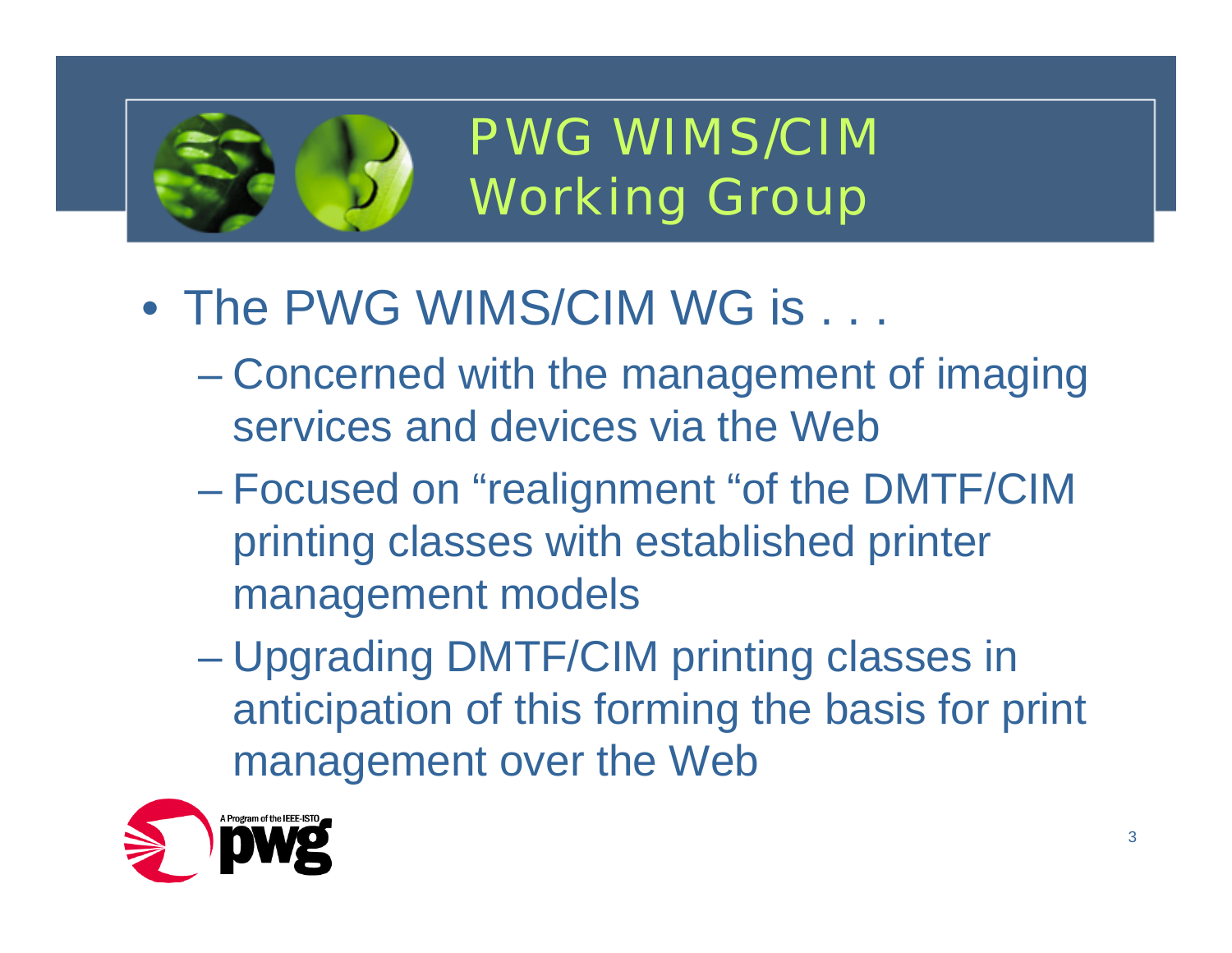

PWG WIMS/CIMWorking Group

- The PWG WIMS/CIM WG is . . .
	- Concerned with the management of imaging services and devices via the Web
	- Focused on "realignment "of the DMTF/CIM printing classes with established printer management models
	- Upgrading DMTF/CIM printing classes in anticipation of this forming the basis for print management over the Web

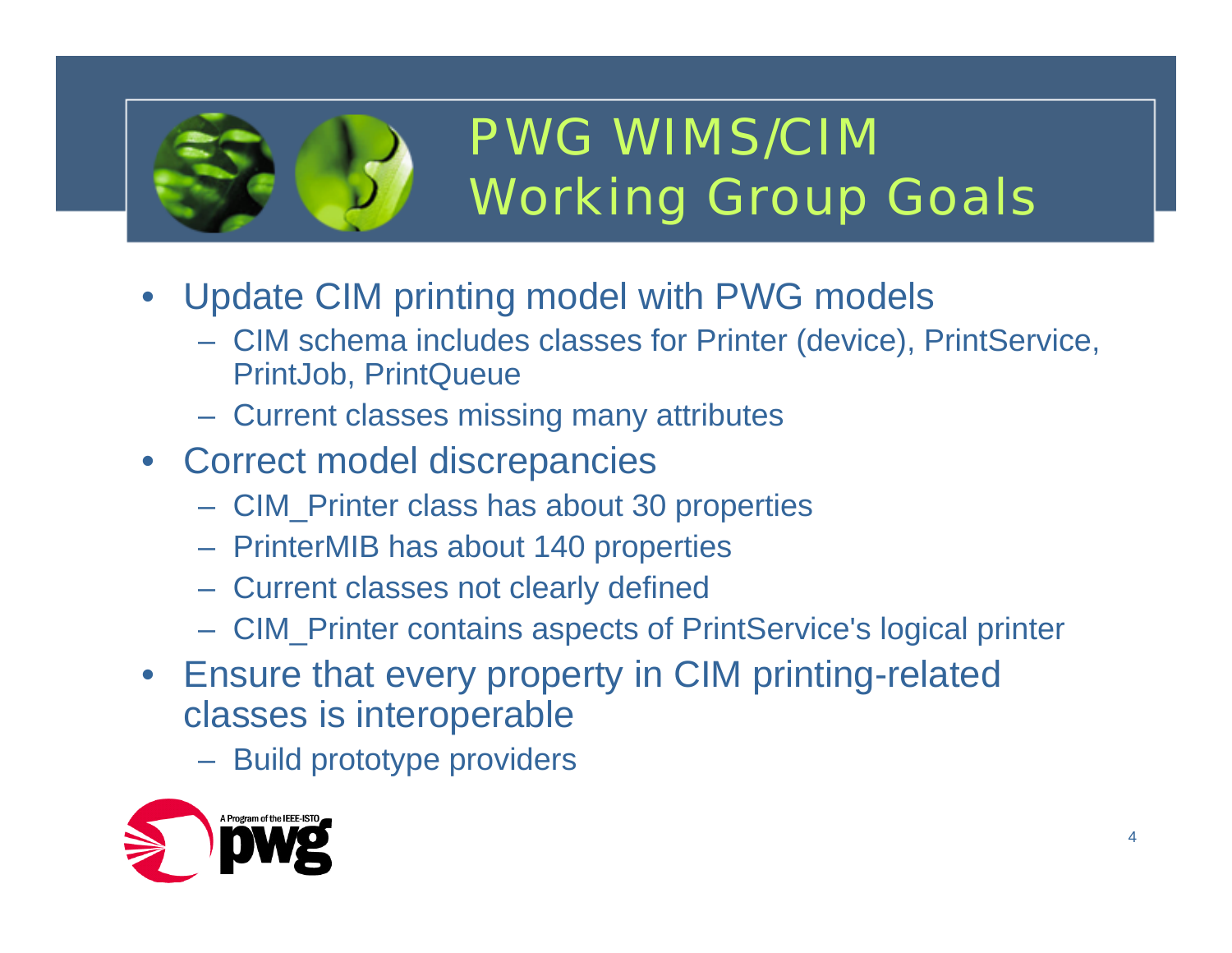

#### PWG WIMS/CIMWorking Group Goals

- Update CIM printing model with PWG models
	- CIM schema includes classes for Printer (device), PrintService, PrintJob, PrintQueue
	- Current classes missing many attributes
- Correct model discrepancies
	- CIM\_Printer class has about 30 properties
	- PrinterMIB has about 140 properties
	- Current classes not clearly defined
	- $\mathcal{L}_{\mathcal{A}}$ CIM\_Printer contains aspects of PrintService's logical printer
- Ensure that every property in CIM printing-related classes is interoperable
	- Build prototype providers

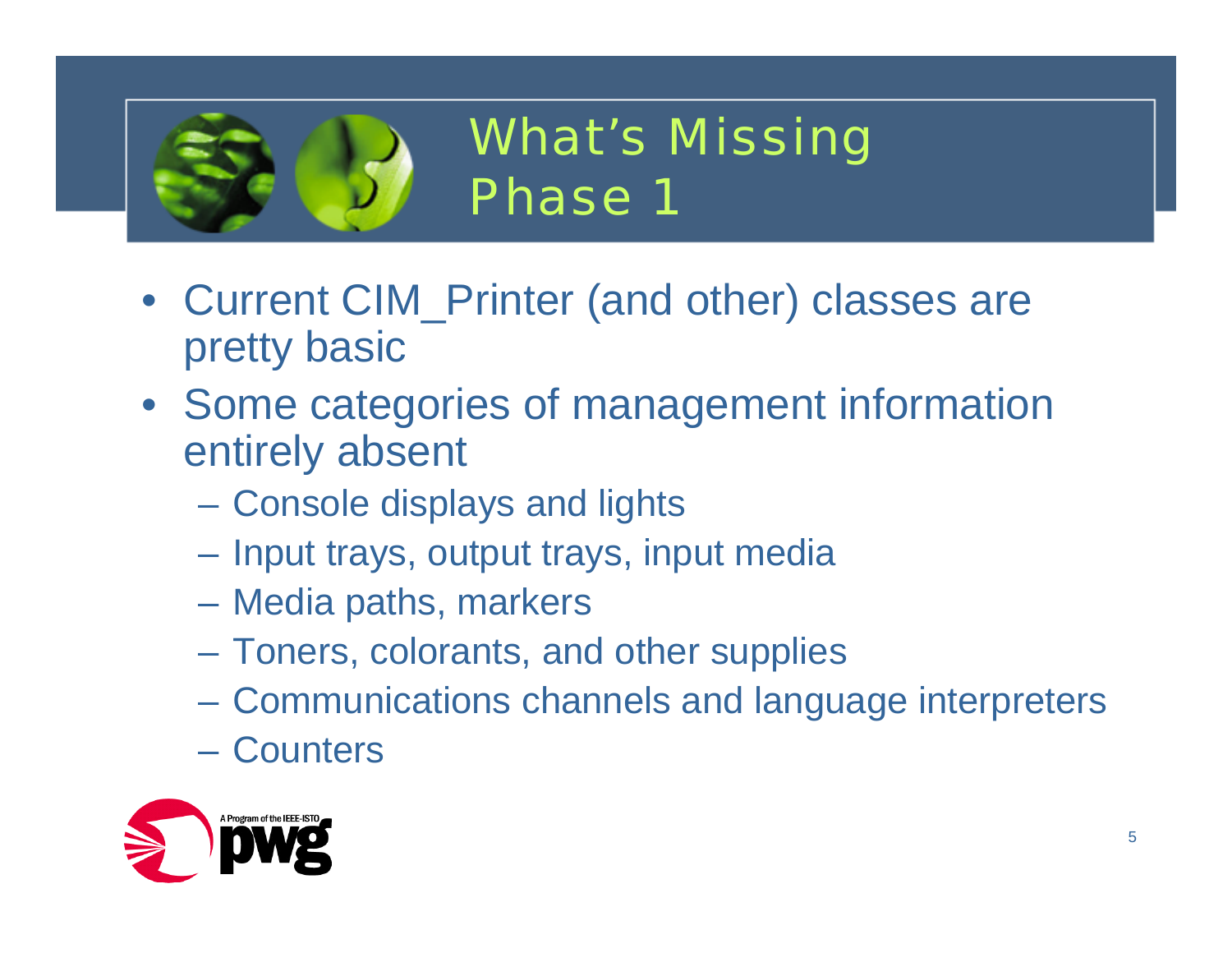

#### What's Missing Phase 1

- Current CIM\_Printer (and other) classes are pretty basic
- Some categories of management information entirely absent
	- $\mathcal{L}_{\mathcal{A}}$  , and the set of the set of the set of the set of the set of the set of the set of the set of the set of the set of the set of the set of the set of the set of the set of the set of the set of the set of th Console displays and lights
	- $\mathcal{L}_{\mathcal{A}}$ Input trays, output trays, input media
	- $\mathcal{L}_{\mathcal{A}}$  , and the set of the set of the set of the set of the set of the set of the set of the set of the set of the set of the set of the set of the set of the set of the set of the set of the set of the set of th Media paths, markers
	- –Toners, colorants, and other supplies
	- $\mathcal{L}_{\mathcal{A}}$ Communications channels and language interpreters
	- Counters

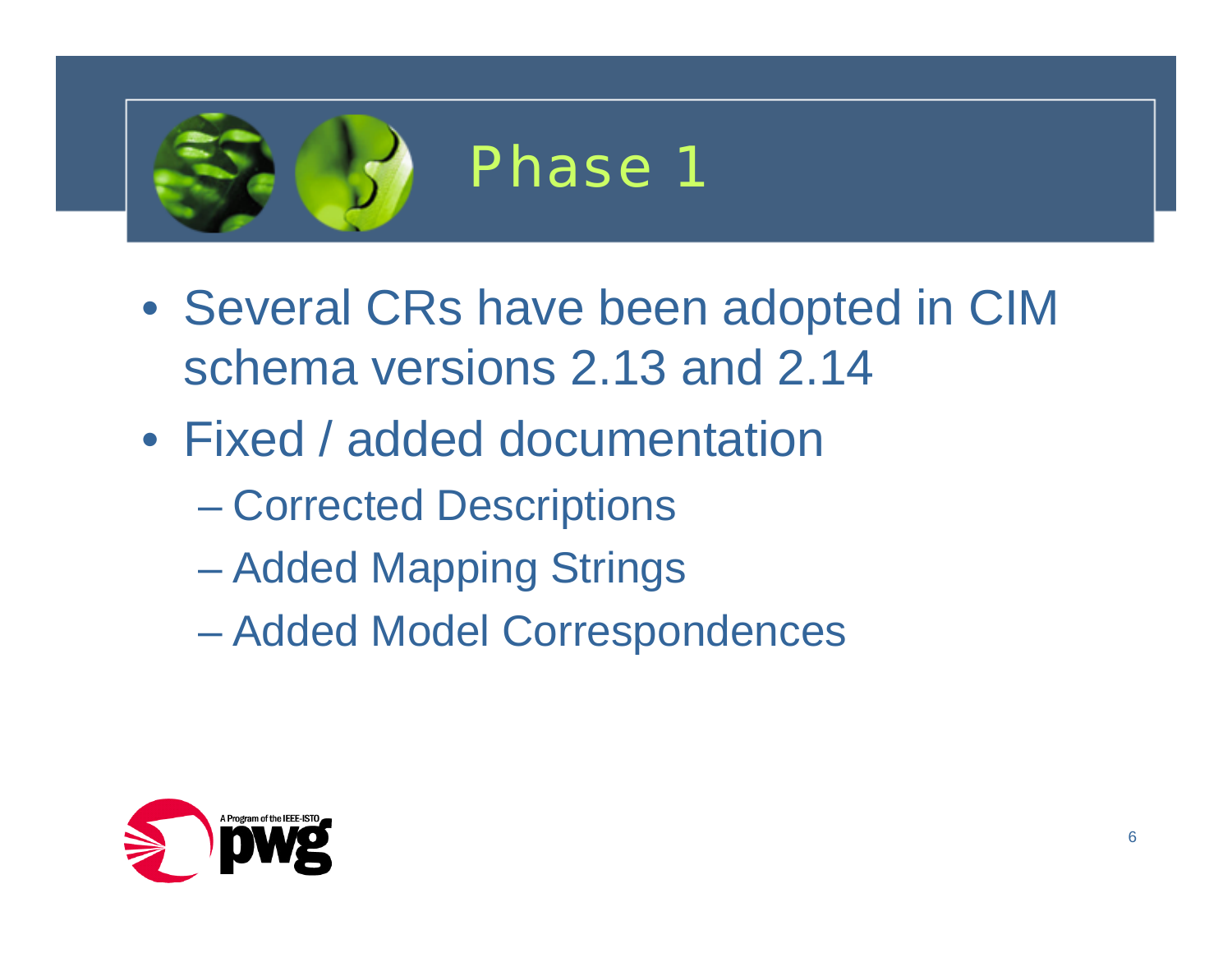

- Several CRs have been adopted in CIM schema versions 2.13 and 2.14
- Fixed / added documentation
	- Corrected Descriptions
	- Added Mapping Strings
	- Added Model Correspondences

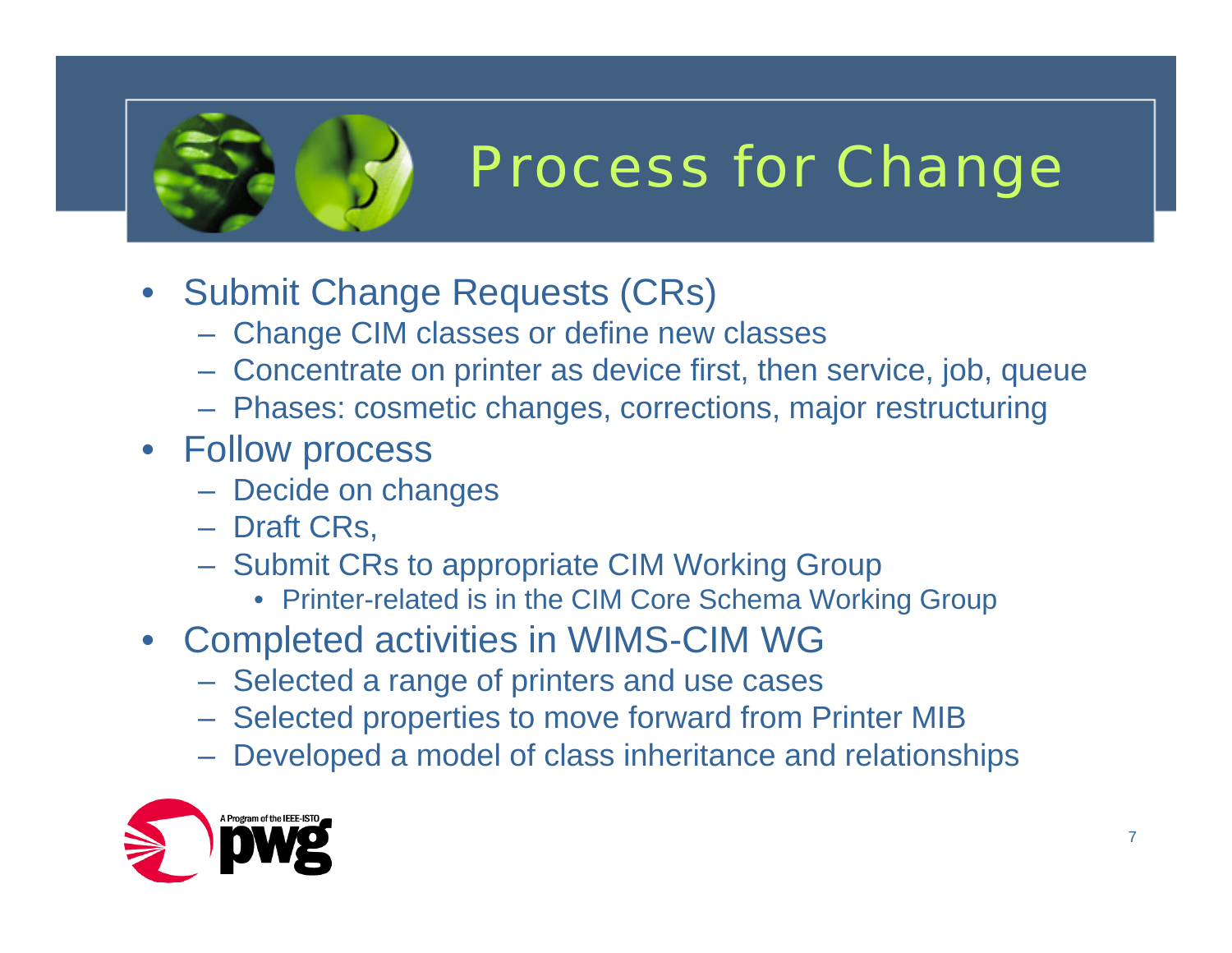

## Process for Change

- Submit Change Requests (CRs)
	- Change CIM classes or define new classes
	- Concentrate on printer as device first, then service, job, queue
	- Phases: cosmetic changes, corrections, major restructuring
- Follow process
	- Decide on changes
	- Draft CRs,
	- Submit CRs to appropriate CIM Working Group
		- Printer-related is in the CIM Core Schema Working Group
- Completed activities in WIMS-CIM WG
	- Selected a range of printers and use cases
	- Selected properties to move forward from Printer MIB
	- Developed a model of class inheritance and relationships

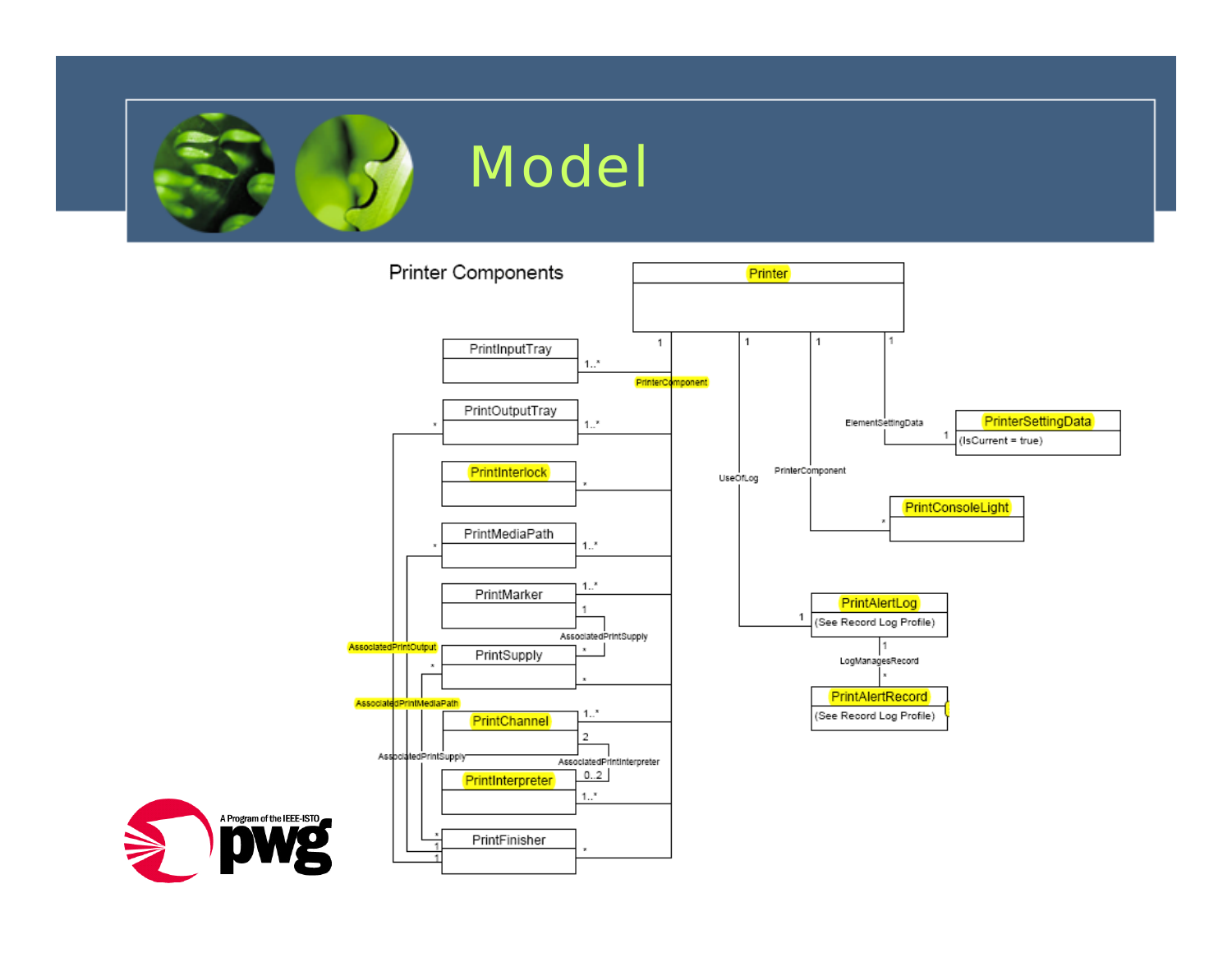



A Program of the IEEE-ISTO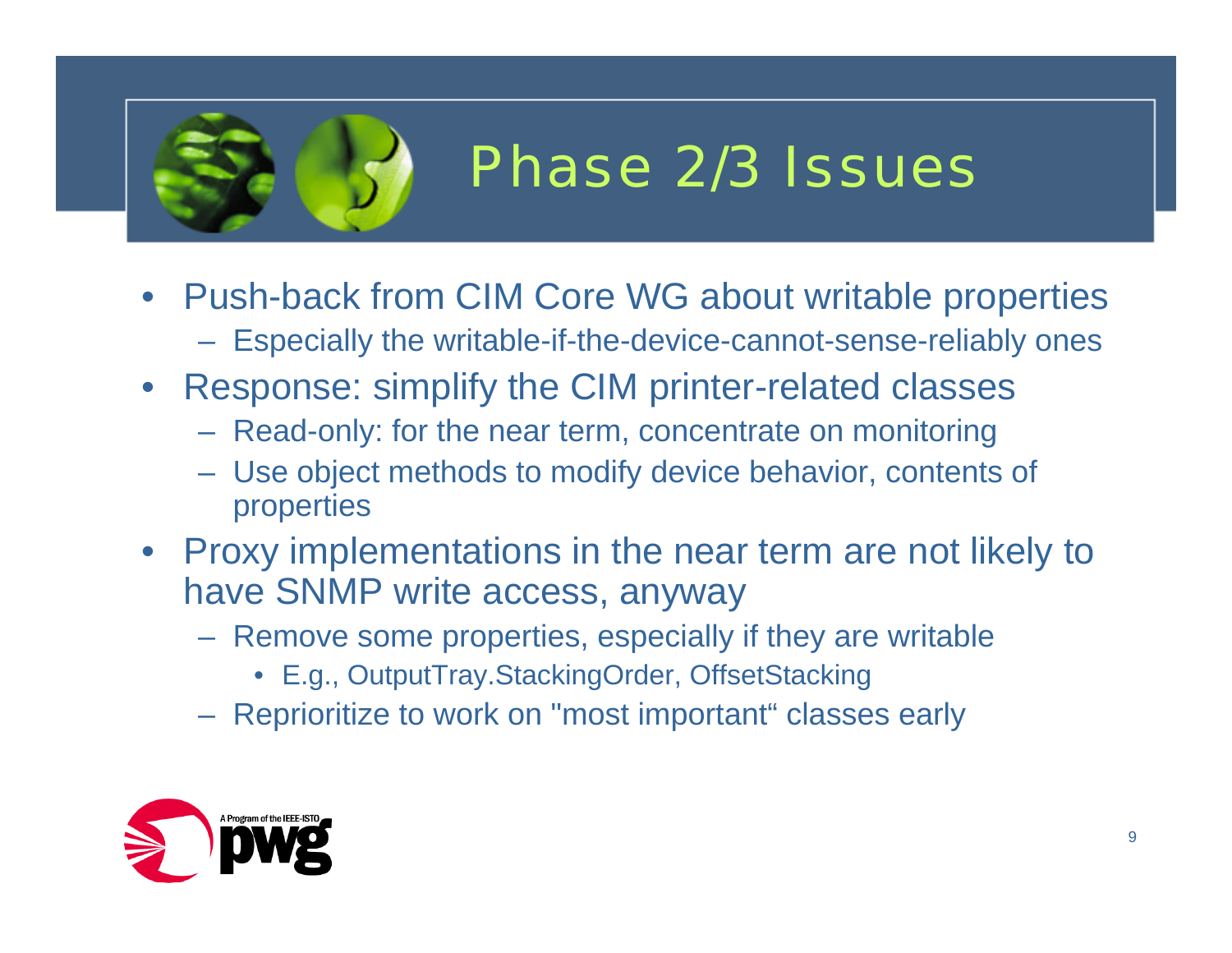

### Phase 2/3 Issues

- Push-back from CIM Core WG about writable properties
	- Especially the writable-if-the-device-cannot-sense-reliably ones
- Response: simplify the CIM printer-related classes
	- Read-only: for the near term, concentrate on monitoring
	- Use object methods to modify device behavior, contents of properties
- Proxy implementations in the near term are not likely to have SNMP write access, anyway
	- Remove some properties, especially if they are writable
		- E.g., OutputTray.StackingOrder, OffsetStacking
	- Reprioritize to work on "most important" classes early

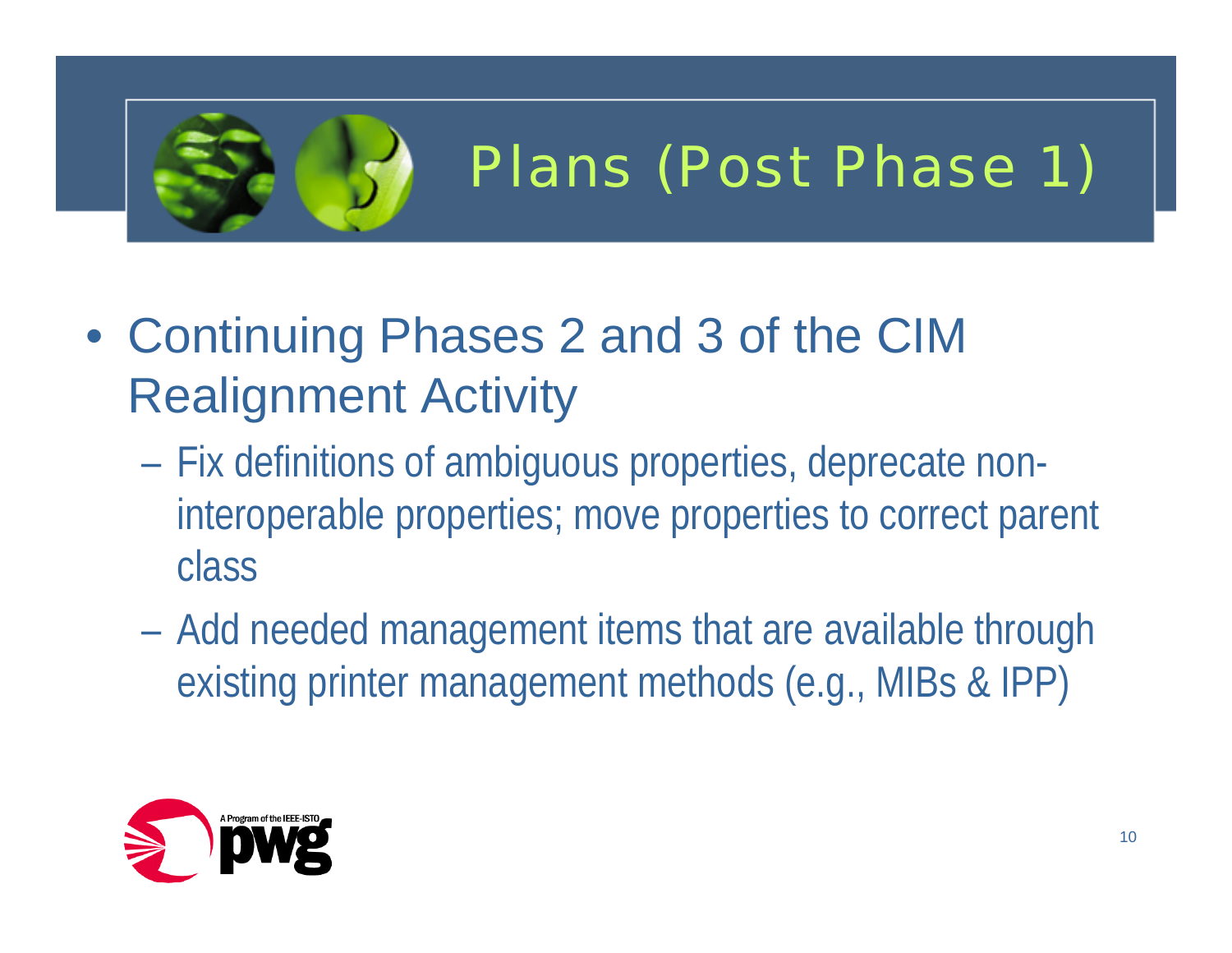

## Plans (Post Phase 1)

- Continuing Phases 2 and 3 of the CIM Realignment Activity
	- Fix definitions of ambiguous properties, deprecate noninteroperable properties; move properties to correct parent class
	- Add needed management items that are available through existing printer management methods (e.g., MIBs & IPP)

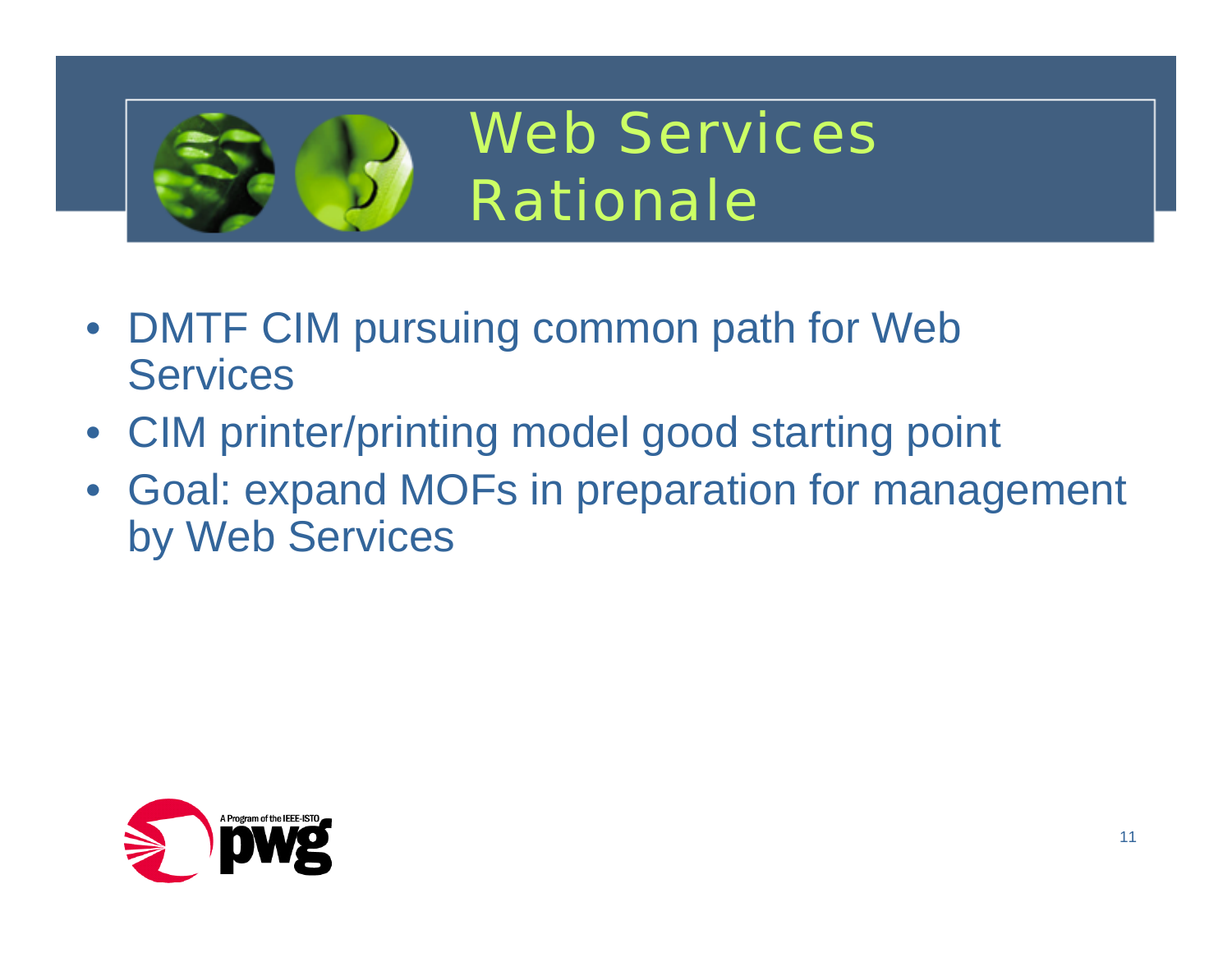

Web ServicesRationale

- DMTF CIM pursuing common path for Web **Services**
- CIM printer/printing model good starting point
- Goal: expand MOFs in preparation for management by Web Services

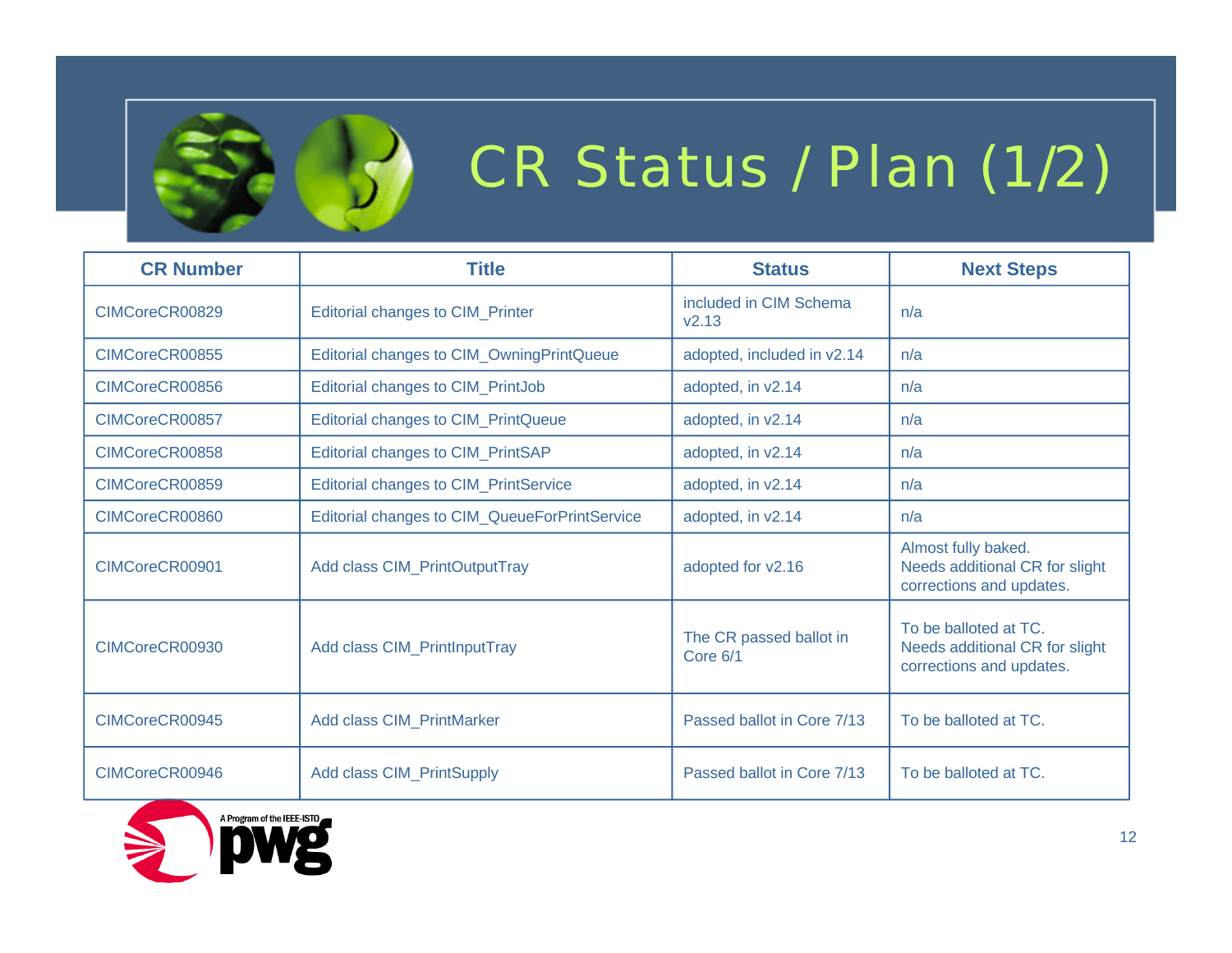

## CR Status / Plan (1/2)

| <b>CR Number</b> | <b>Title</b>                                  | <b>Status</b>                       | <b>Next Steps</b>                                                                   |
|------------------|-----------------------------------------------|-------------------------------------|-------------------------------------------------------------------------------------|
| CIMCoreCR00829   | <b>Editorial changes to CIM_Printer</b>       | included in CIM Schema<br>V2.13     | n/a                                                                                 |
| CIMCoreCR00855   | Editorial changes to CIM_OwningPrintQueue     | adopted, included in v2.14          | n/a                                                                                 |
| CIMCoreCR00856   | Editorial changes to CIM_PrintJob             | adopted, in v2.14                   | n/a                                                                                 |
| CIMCoreCR00857   | <b>Editorial changes to CIM_PrintQueue</b>    | adopted, in v2.14                   | n/a                                                                                 |
| CIMCoreCR00858   | Editorial changes to CIM_PrintSAP             | adopted, in v2.14                   | n/a                                                                                 |
| CIMCoreCR00859   | <b>Editorial changes to CIM_PrintService</b>  | adopted, in v2.14                   | n/a                                                                                 |
| CIMCoreCR00860   | Editorial changes to CIM_QueueForPrintService | adopted, in v2.14                   | n/a                                                                                 |
| CIMCoreCR00901   | Add class CIM_PrintOutputTray                 | adopted for v2.16                   | Almost fully baked.<br>Needs additional CR for slight<br>corrections and updates.   |
| CIMCoreCR00930   | Add class CIM_PrintlnputTray                  | The CR passed ballot in<br>Core 6/1 | To be balloted at TC.<br>Needs additional CR for slight<br>corrections and updates. |
| CIMCoreCR00945   | Add class CIM_PrintMarker                     | Passed ballot in Core 7/13          | To be balloted at TC.                                                               |
| CIMCoreCR00946   | <b>Add class CIM PrintSupply</b>              | Passed ballot in Core 7/13          | To be balloted at TC.                                                               |

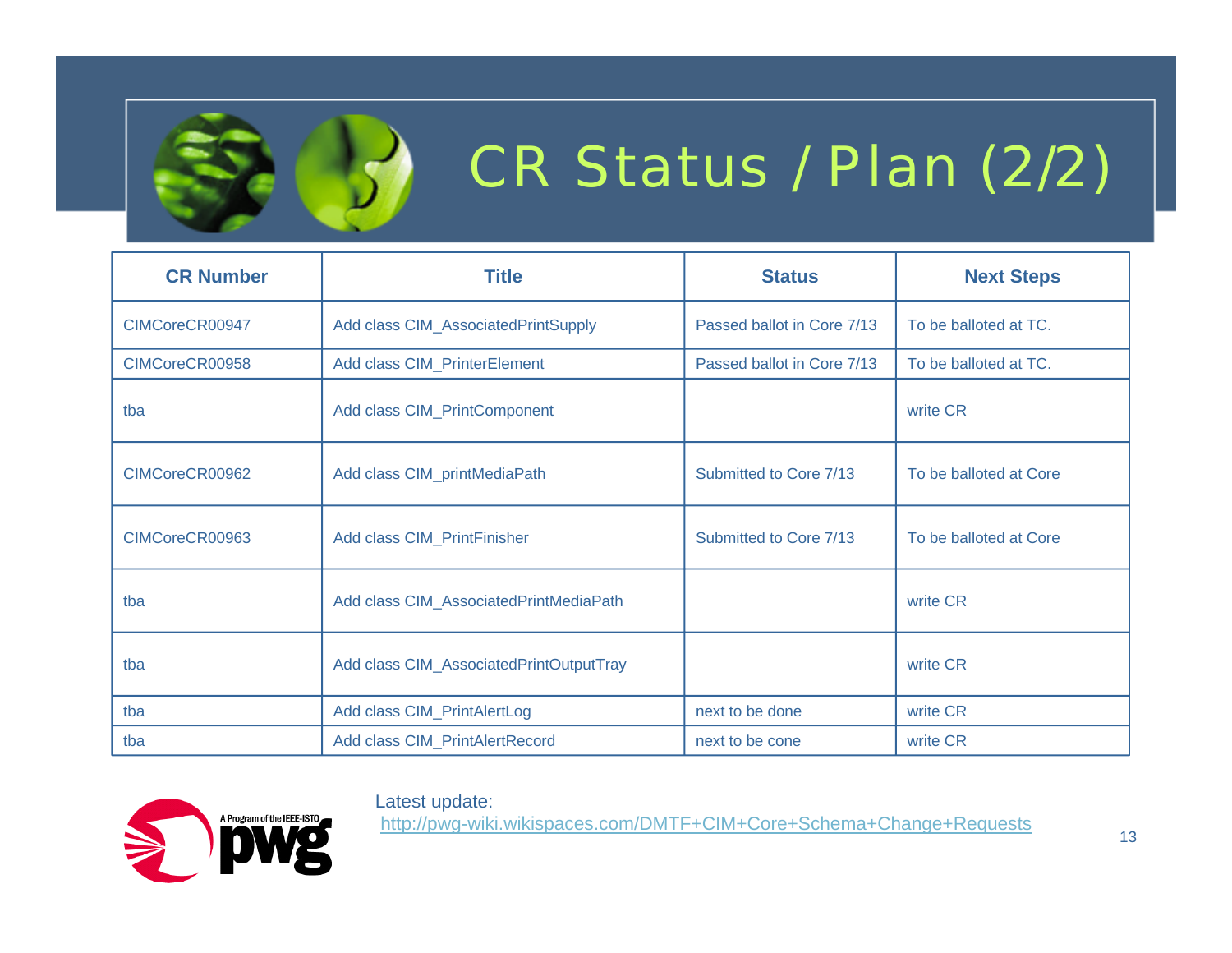

# CR Status / Plan (2/2)

| <b>CR Number</b> | <b>Title</b>                            | <b>Status</b>              | <b>Next Steps</b>      |
|------------------|-----------------------------------------|----------------------------|------------------------|
| CIMCoreCR00947   | Add class CIM_AssociatedPrintSupply     | Passed ballot in Core 7/13 | To be balloted at TC.  |
| CIMCoreCR00958   | Add class CIM_PrinterElement            | Passed ballot in Core 7/13 | To be balloted at TC.  |
| tba              | Add class CIM_PrintComponent            |                            | write CR               |
| CIMCoreCR00962   | Add class CIM_printMediaPath            | Submitted to Core 7/13     | To be balloted at Core |
| CIMCoreCR00963   | Add class CIM_PrintFinisher             | Submitted to Core 7/13     | To be balloted at Core |
| tba              | Add class CIM_AssociatedPrintMediaPath  |                            | write CR               |
| tba              | Add class CIM_AssociatedPrintOutputTray |                            | write CR               |
| tba              | Add class CIM_PrintAlertLog             | next to be done            | write CR               |
| tba              | Add class CIM_PrintAlertRecord          | next to be cone            | write CR               |

#### Latest update:



http://pwg-wiki.wikispaces.com/DMTF+CIM+Core+Schema+Change+Requests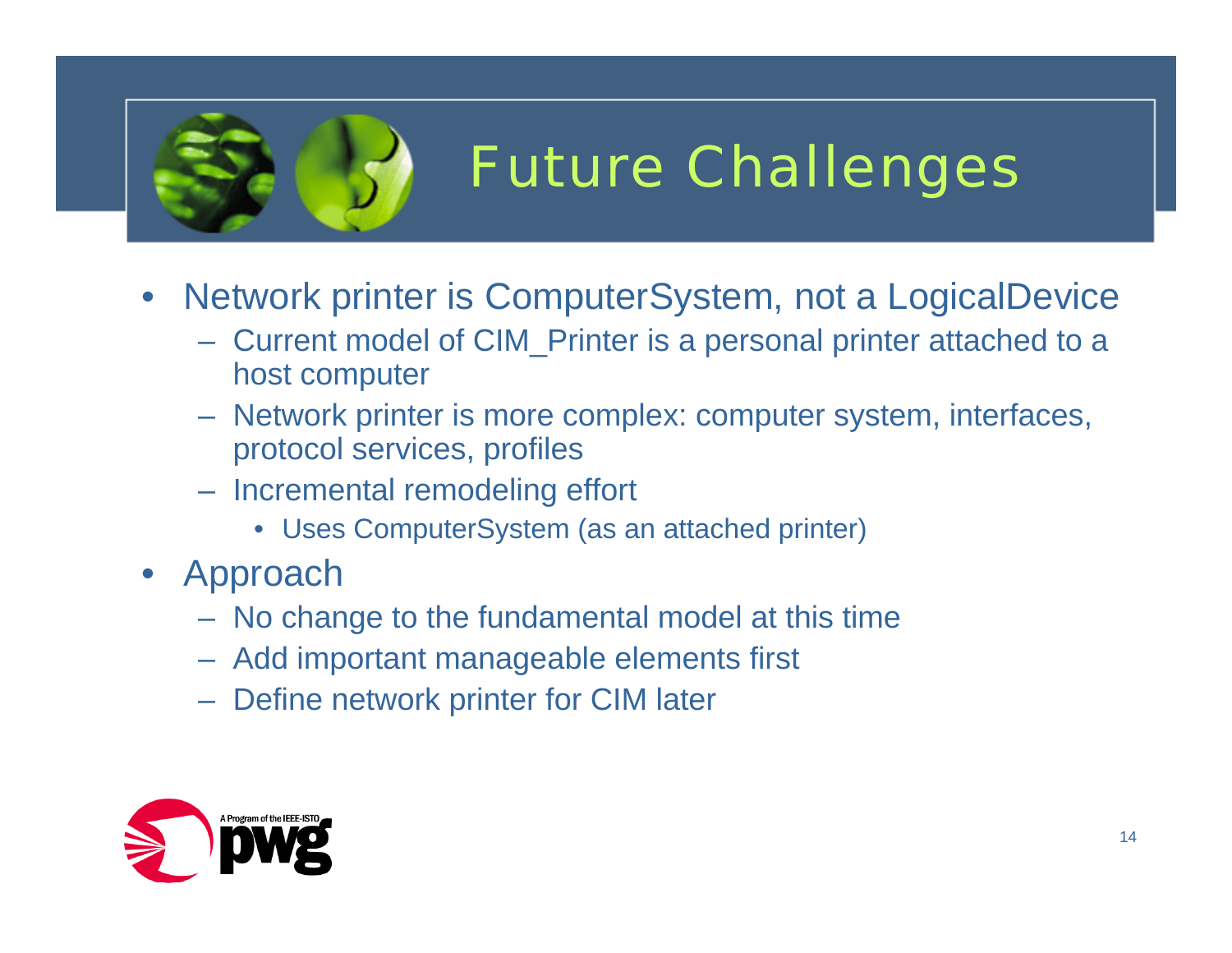

## Future Challenges

- • Network printer is ComputerSystem, not a LogicalDevice
	- Current model of CIM\_Printer is a personal printer attached to a host computer
	- Network printer is more complex: computer system, interfaces, protocol services, profiles
	- Incremental remodeling effort
		- Uses ComputerSystem (as an attached printer)
- Approach
	- No change to the fundamental model at this time
	- Add important manageable elements first
	- Define network printer for CIM later

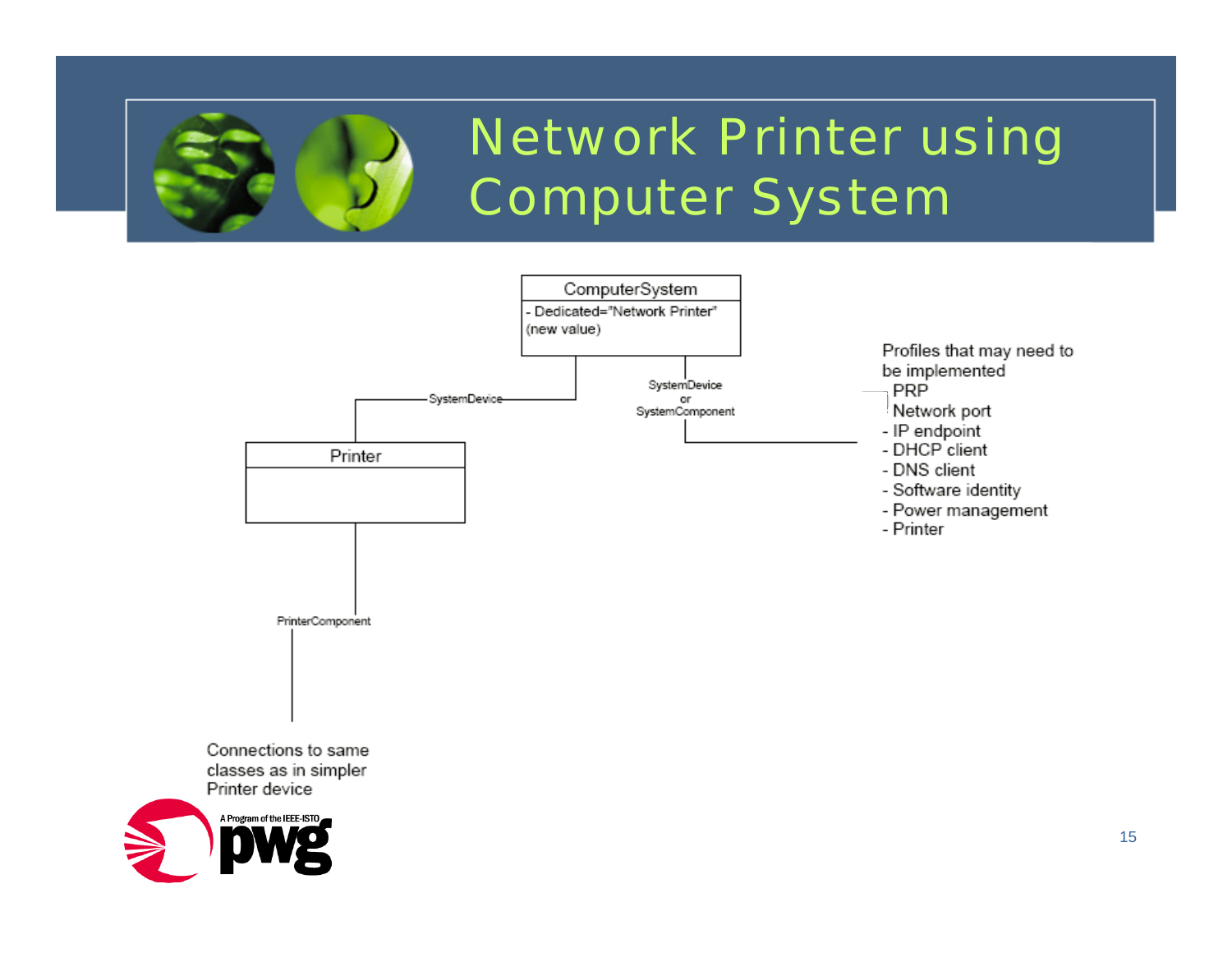

#### Network Printer using Computer System

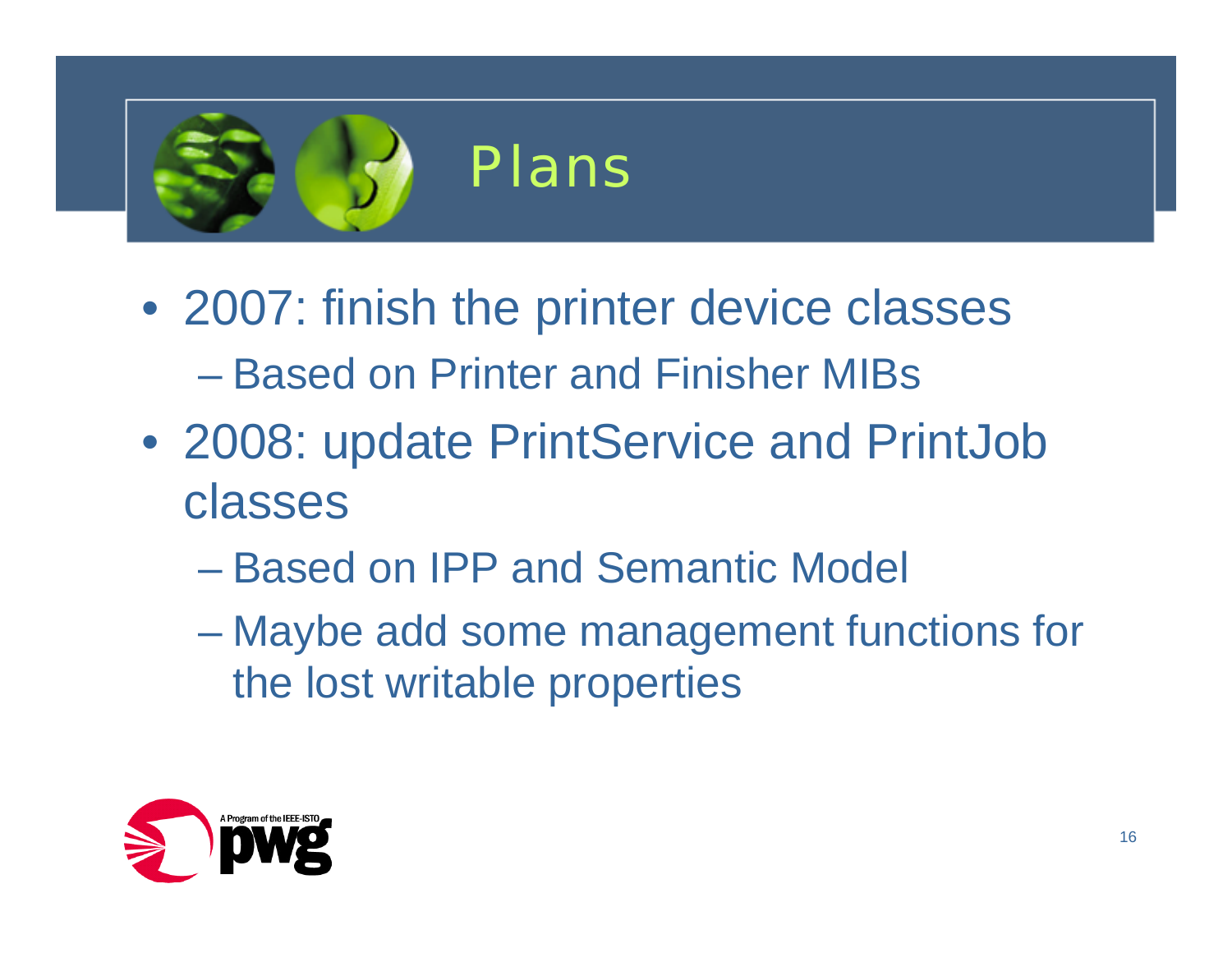

- 2007: finish the printer device classes – Based on Printer and Finisher MIBs
- 2008: update PrintService and PrintJob classes
	- Based on IPP and Semantic Model
	- Maybe add some management functions for the lost writable properties

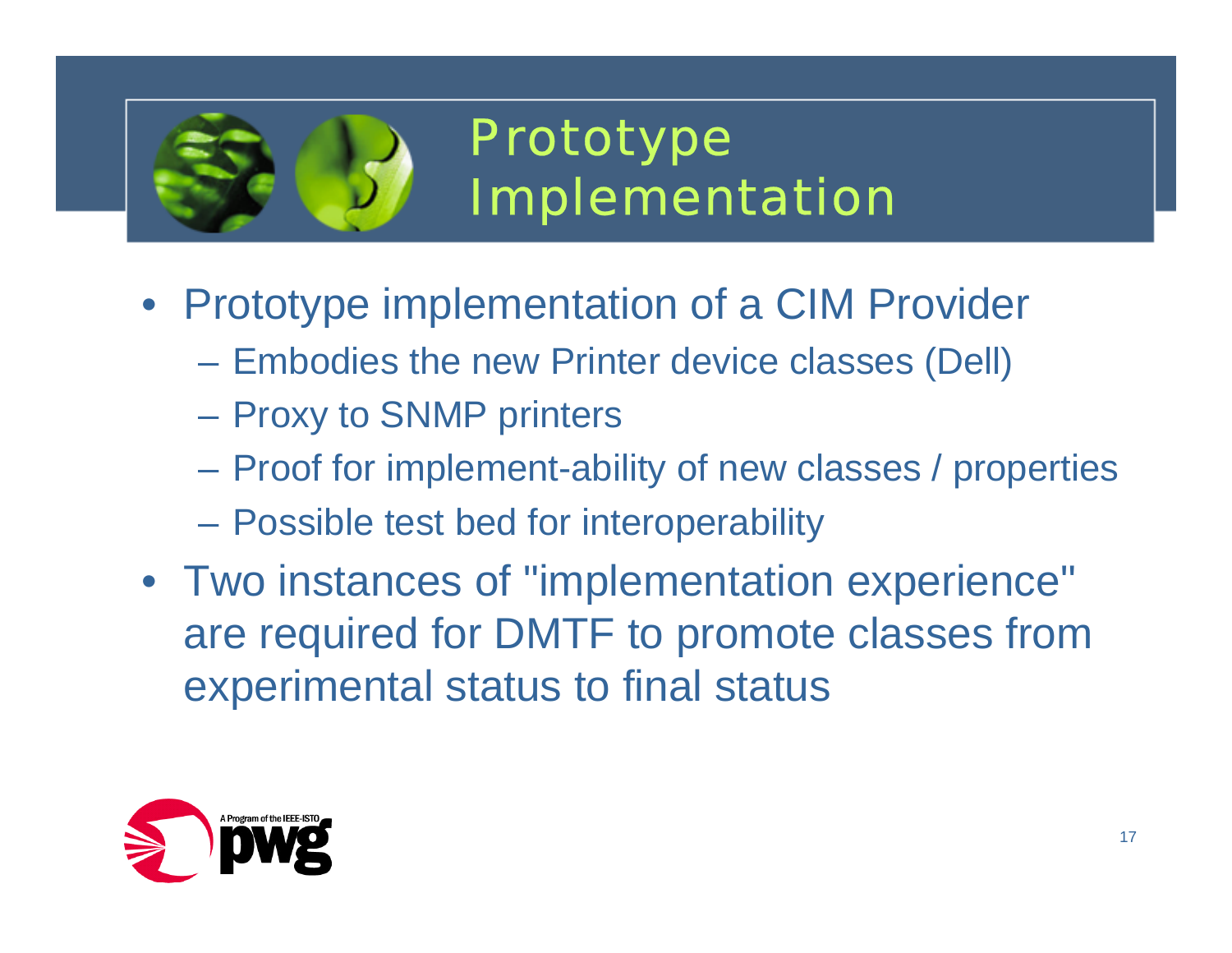

#### Prototype Implementation

- Prototype implementation of a CIM Provider
	- $\mathcal{L}_{\mathcal{A}}$  , and the set of the set of the set of the set of the set of the set of the set of the set of the set of the set of the set of the set of the set of the set of the set of the set of the set of the set of th Embodies the new Printer device classes (Dell)
	- $\mathcal{L}_{\mathcal{A}}$  , and the set of the set of the set of the set of the set of the set of the set of the set of the set of the set of the set of the set of the set of the set of the set of the set of the set of the set of th Proxy to SNMP printers
	- $\mathcal{L}_{\mathcal{A}}$  , and the set of the set of the set of the set of the set of the set of the set of the set of the set of the set of the set of the set of the set of the set of the set of the set of the set of the set of th Proof for implement-ability of new classes / properties
	- $\mathcal{L}_{\mathcal{A}}$  , and the set of the set of the set of the set of the set of the set of the set of the set of the set of the set of the set of the set of the set of the set of the set of the set of the set of the set of th Possible test bed for interoperability
- Two instances of "implementation experience" are required for DMTF to promote classes from experimental status to final status